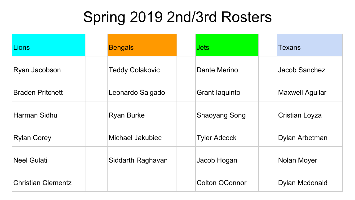## Spring 2019 2nd/3rd Rosters

| Lions                     | <b>Bengals</b>         | <b>Jets</b>           | Texans                 |
|---------------------------|------------------------|-----------------------|------------------------|
| Ryan Jacobson             | <b>Teddy Colakovic</b> | Dante Merino          | Jacob Sanchez          |
| <b>Braden Pritchett</b>   | Leonardo Salgado       | <b>Grant laquinto</b> | <b>Maxwell Aguilar</b> |
| Harman Sidhu              | <b>Ryan Burke</b>      | <b>Shaoyang Song</b>  | <b>Cristian Loyza</b>  |
| <b>Rylan Corey</b>        | Michael Jakubiec       | <b>Tyler Adcock</b>   | Dylan Arbetman         |
| <b>Neel Gulati</b>        | Siddarth Raghavan      | Jacob Hogan           | <b>Nolan Moyer</b>     |
| <b>Christian Clementz</b> |                        | <b>Colton OConnor</b> | Dylan Mcdonald         |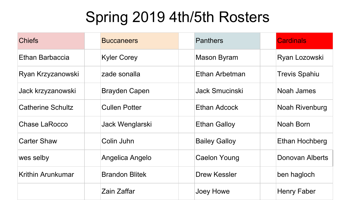## Spring 2019 4th/5th Rosters

| <b>Chiefs</b>            | <b>Buccaneers</b>     | <b>Panthers</b>      | <b>Cardinals</b>     |
|--------------------------|-----------------------|----------------------|----------------------|
| Ethan Barbaccia          | <b>Kyler Corey</b>    | Mason Byram          | Ryan Lozowski        |
| Ryan Krzyzanowski        | zade sonalla          | Ethan Arbetman       | <b>Trevis Spahiu</b> |
| Jack krzyzanowski        | <b>Brayden Capen</b>  | Jack Smucinski       | Noah James           |
| <b>Catherine Schultz</b> | <b>Cullen Potter</b>  | Ethan Adcock         | Noah Rivenburg       |
| <b>Chase LaRocco</b>     | Jack Wenglarski       | <b>Ethan Galloy</b>  | Noah Born            |
| <b>Carter Shaw</b>       | Colin Juhn            | <b>Bailey Galloy</b> | Ethan Hochberg       |
| wes selby                | Angelica Angelo       | Caelon Young         | Donovan Alberts      |
| Krithin Arunkumar        | <b>Brandon Blitek</b> | Drew Kessler         | ben hagloch          |
|                          | Zain Zaffar           | Joey Howe            | Henry Faber          |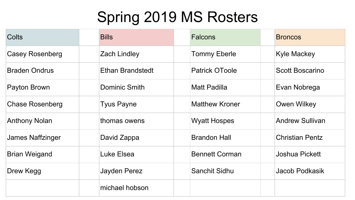## Spring 2019 MS Rosters

| Colts                  | <b>Bills</b>            | <b>Falcons</b>        | <b>Broncos</b>         |
|------------------------|-------------------------|-----------------------|------------------------|
| <b>Casey Rosenberg</b> | <b>Zach Lindley</b>     | <b>Tommy Eberle</b>   | Kyle Mackey            |
| <b>Braden Ondrus</b>   | <b>Ethan Brandstedt</b> | <b>Patrick OToole</b> | Scott Boscarino        |
| Payton Brown           | Dominic Smith           | <b>Matt Padilla</b>   | Evan Nobrega           |
| <b>Chase Rosenberg</b> | <b>Tyus Payne</b>       | <b>Matthew Kroner</b> | Owen Wilkey            |
| <b>Anthony Nolan</b>   | thomas owens            | <b>Wyatt Hospes</b>   | <b>Andrew Sullivan</b> |
| James Naffzinger       | David Zappa             | <b>Brandon Hall</b>   | <b>Christian Pentz</b> |
| <b>Brian Weigand</b>   | Luke Elsea              | <b>Bennett Corman</b> | Joshua Pickett         |
| Drew Kegg              | Jayden Perez            | Sanchit Sidhu         | Jacob Podkasik         |
|                        | michael hobson          |                       |                        |